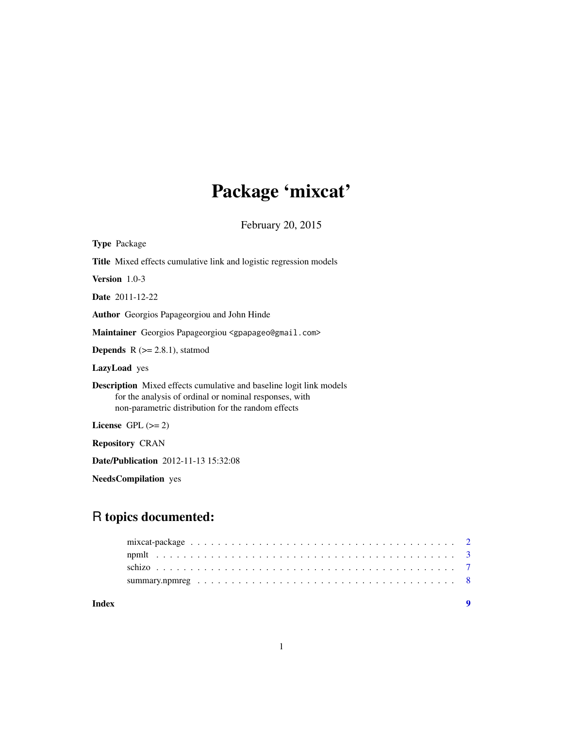# Package 'mixcat'

February 20, 2015

<span id="page-0-0"></span>

| <b>Type Package</b>                                                                                                                                                                        |
|--------------------------------------------------------------------------------------------------------------------------------------------------------------------------------------------|
| <b>Title</b> Mixed effects cumulative link and logistic regression models                                                                                                                  |
| Version 1.0-3                                                                                                                                                                              |
| <b>Date</b> 2011-12-22                                                                                                                                                                     |
| <b>Author</b> Georgios Papageorgiou and John Hinde                                                                                                                                         |
| Maintainer Georgios Papageorgiou <gpapageo@gmail.com></gpapageo@gmail.com>                                                                                                                 |
| <b>Depends</b> $R$ ( $>= 2.8.1$ ), statmod                                                                                                                                                 |
| LazyLoad yes                                                                                                                                                                               |
| <b>Description</b> Mixed effects cumulative and baseline logit link models<br>for the analysis of ordinal or nominal responses, with<br>non-parametric distribution for the random effects |
| License $GPL (= 2)$                                                                                                                                                                        |
| <b>Repository CRAN</b>                                                                                                                                                                     |
| <b>Date/Publication</b> 2012-11-13 15:32:08                                                                                                                                                |

NeedsCompilation yes

# R topics documented:

**Index** [9](#page-8-0)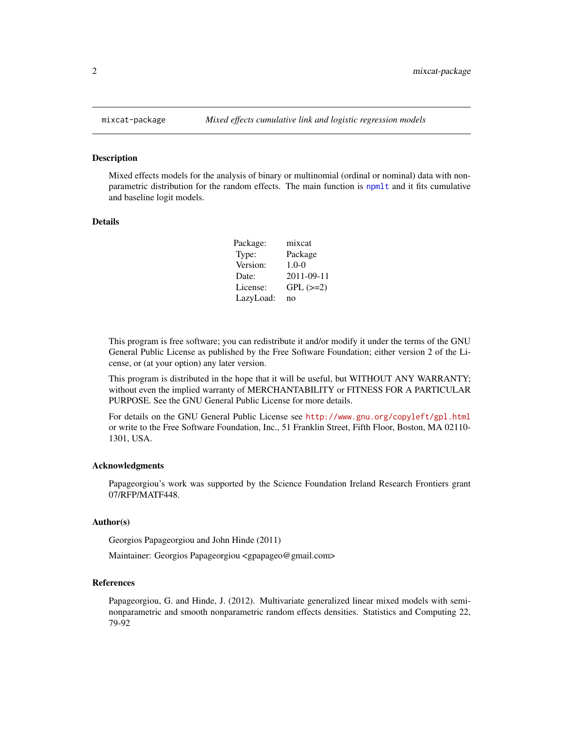#### Description

Mixed effects models for the analysis of binary or multinomial (ordinal or nominal) data with nonparametric distribution for the random effects. The main function is [npmlt](#page-2-1) and it fits cumulative and baseline logit models.

#### Details

| Package:  | mixcat        |
|-----------|---------------|
| Type:     | Package       |
| Version:  | $1.0 - 0$     |
| Date:     | 2011-09-11    |
| License:  | $GPL$ $(>=2)$ |
| LazyLoad: | no            |

This program is free software; you can redistribute it and/or modify it under the terms of the GNU General Public License as published by the Free Software Foundation; either version 2 of the License, or (at your option) any later version.

This program is distributed in the hope that it will be useful, but WITHOUT ANY WARRANTY; without even the implied warranty of MERCHANTABILITY or FITNESS FOR A PARTICULAR PURPOSE. See the GNU General Public License for more details.

For details on the GNU General Public License see <http://www.gnu.org/copyleft/gpl.html> or write to the Free Software Foundation, Inc., 51 Franklin Street, Fifth Floor, Boston, MA 02110- 1301, USA.

#### Acknowledgments

Papageorgiou's work was supported by the Science Foundation Ireland Research Frontiers grant 07/RFP/MATF448.

#### Author(s)

Georgios Papageorgiou and John Hinde (2011)

Maintainer: Georgios Papageorgiou <gpapageo@gmail.com>

#### References

Papageorgiou, G. and Hinde, J. (2012). Multivariate generalized linear mixed models with seminonparametric and smooth nonparametric random effects densities. Statistics and Computing 22, 79-92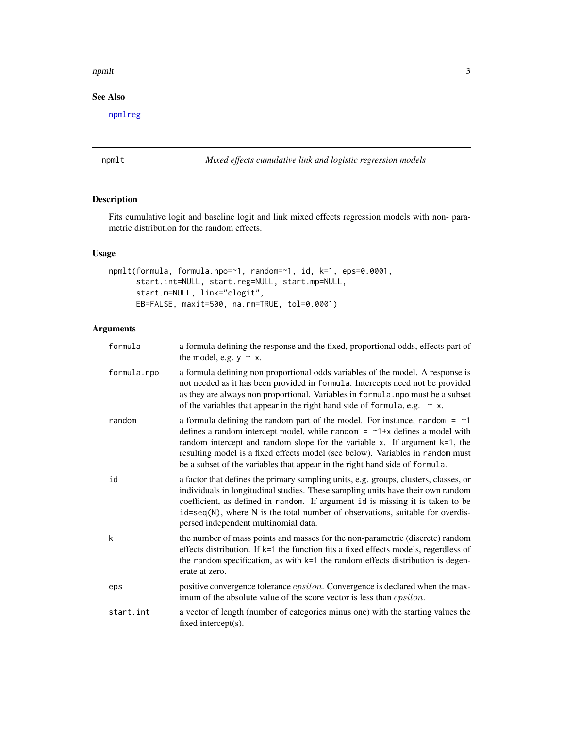#### <span id="page-2-0"></span>npmlt 3

# See Also

[npmlreg](#page-0-0)

#### <span id="page-2-1"></span>npmlt *Mixed effects cumulative link and logistic regression models*

## Description

Fits cumulative logit and baseline logit and link mixed effects regression models with non- parametric distribution for the random effects.

## Usage

```
npmlt(formula, formula.npo=~1, random=~1, id, k=1, eps=0.0001,
      start.int=NULL, start.reg=NULL, start.mp=NULL,
      start.m=NULL, link="clogit",
     EB=FALSE, maxit=500, na.rm=TRUE, tol=0.0001)
```
# Arguments

| formula     | a formula defining the response and the fixed, proportional odds, effects part of<br>the model, e.g. $y \sim x$ .                                                                                                                                                                                                                                                                                                       |
|-------------|-------------------------------------------------------------------------------------------------------------------------------------------------------------------------------------------------------------------------------------------------------------------------------------------------------------------------------------------------------------------------------------------------------------------------|
| formula.npo | a formula defining non proportional odds variables of the model. A response is<br>not needed as it has been provided in formula. Intercepts need not be provided<br>as they are always non proportional. Variables in formula. npo must be a subset<br>of the variables that appear in the right hand side of formula, e.g. $\sim x$ .                                                                                  |
| random      | a formula defining the random part of the model. For instance, random $=$ ~1<br>defines a random intercept model, while random $=$ $\sim$ 1+x defines a model with<br>random intercept and random slope for the variable $x$ . If argument $k=1$ , the<br>resulting model is a fixed effects model (see below). Variables in random must<br>be a subset of the variables that appear in the right hand side of formula. |
| id          | a factor that defines the primary sampling units, e.g. groups, clusters, classes, or<br>individuals in longitudinal studies. These sampling units have their own random<br>coefficient, as defined in random. If argument id is missing it is taken to be<br>id=seq(N), where N is the total number of observations, suitable for overdis-<br>persed independent multinomial data.                                      |
| k           | the number of mass points and masses for the non-parametric (discrete) random<br>effects distribution. If k=1 the function fits a fixed effects models, regerdless of<br>the random specification, as with k=1 the random effects distribution is degen-<br>erate at zero.                                                                                                                                              |
| eps         | positive convergence tolerance <i>epsilon</i> . Convergence is declared when the max-<br>imum of the absolute value of the score vector is less than <i>epsilon</i> .                                                                                                                                                                                                                                                   |
| start.int   | a vector of length (number of categories minus one) with the starting values the<br>fixed intercept(s).                                                                                                                                                                                                                                                                                                                 |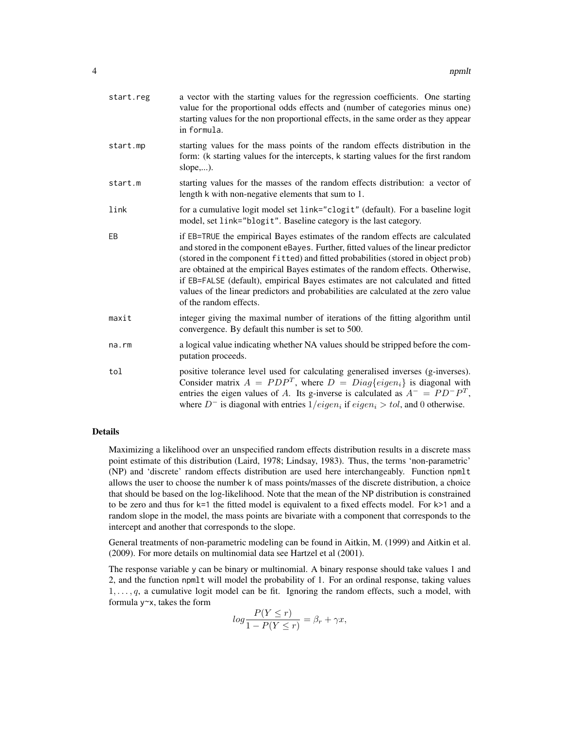| start.reg | a vector with the starting values for the regression coefficients. One starting<br>value for the proportional odds effects and (number of categories minus one)<br>starting values for the non proportional effects, in the same order as they appear<br>in formula.                                                                                                                                                                                                                                                                          |
|-----------|-----------------------------------------------------------------------------------------------------------------------------------------------------------------------------------------------------------------------------------------------------------------------------------------------------------------------------------------------------------------------------------------------------------------------------------------------------------------------------------------------------------------------------------------------|
| start.mp  | starting values for the mass points of the random effects distribution in the<br>form: (k starting values for the intercepts, k starting values for the first random<br>slope,).                                                                                                                                                                                                                                                                                                                                                              |
| start.m   | starting values for the masses of the random effects distribution: a vector of<br>length k with non-negative elements that sum to 1.                                                                                                                                                                                                                                                                                                                                                                                                          |
| link      | for a cumulative logit model set link="clogit" (default). For a baseline logit<br>model, set link="blogit". Baseline category is the last category.                                                                                                                                                                                                                                                                                                                                                                                           |
| EB        | if EB=TRUE the empirical Bayes estimates of the random effects are calculated<br>and stored in the component eBayes. Further, fitted values of the linear predictor<br>(stored in the component fitted) and fitted probabilities (stored in object prob)<br>are obtained at the empirical Bayes estimates of the random effects. Otherwise,<br>if EB=FALSE (default), empirical Bayes estimates are not calculated and fitted<br>values of the linear predictors and probabilities are calculated at the zero value<br>of the random effects. |
| maxit     | integer giving the maximal number of iterations of the fitting algorithm until<br>convergence. By default this number is set to 500.                                                                                                                                                                                                                                                                                                                                                                                                          |
| na.rm     | a logical value indicating whether NA values should be stripped before the com-<br>putation proceeds.                                                                                                                                                                                                                                                                                                                                                                                                                                         |
| tol       | positive tolerance level used for calculating generalised inverses (g-inverses).<br>Consider matrix $A = PDPT$ , where $D = Diag\{eigen_i\}$ is diagonal with<br>entries the eigen values of A. Its g-inverse is calculated as $A^- = PD^-P^T$ ,<br>where $D^-$ is diagonal with entries $1/eigen_i$ if $eigen_i > tol$ , and 0 otherwise.                                                                                                                                                                                                    |

#### Details

Maximizing a likelihood over an unspecified random effects distribution results in a discrete mass point estimate of this distribution (Laird, 1978; Lindsay, 1983). Thus, the terms 'non-parametric' (NP) and 'discrete' random effects distribution are used here interchangeably. Function npmlt allows the user to choose the number k of mass points/masses of the discrete distribution, a choice that should be based on the log-likelihood. Note that the mean of the NP distribution is constrained to be zero and thus for k=1 the fitted model is equivalent to a fixed effects model. For k>1 and a random slope in the model, the mass points are bivariate with a component that corresponds to the intercept and another that corresponds to the slope.

General treatments of non-parametric modeling can be found in Aitkin, M. (1999) and Aitkin et al. (2009). For more details on multinomial data see Hartzel et al (2001).

The response variable y can be binary or multinomial. A binary response should take values 1 and 2, and the function npmlt will model the probability of 1. For an ordinal response, taking values  $1, \ldots, q$ , a cumulative logit model can be fit. Ignoring the random effects, such a model, with formula y~x, takes the form

$$
log\frac{P(Y \le r)}{1 - P(Y \le r)} = \beta_r + \gamma x,
$$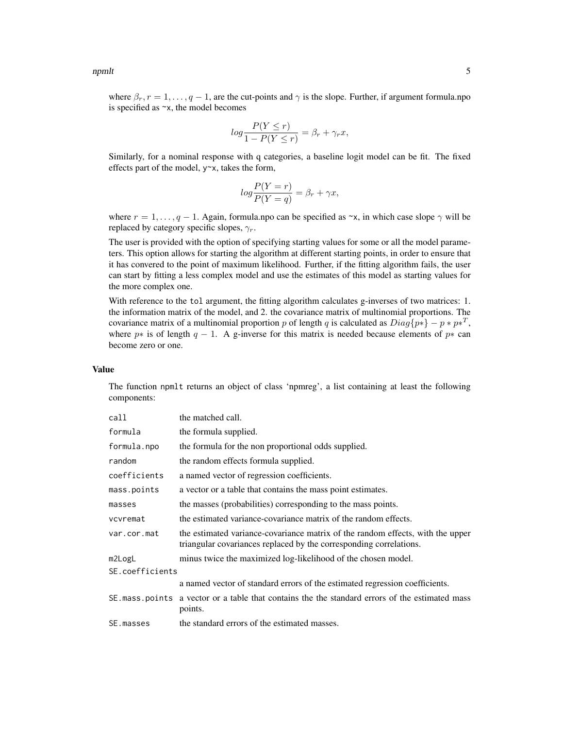npmlt 5

where  $\beta_r$ ,  $r = 1, \ldots, q - 1$ , are the cut-points and  $\gamma$  is the slope. Further, if argument formula.npo is specified as ~x, the model becomes

$$
log\frac{P(Y \le r)}{1 - P(Y \le r)} = \beta_r + \gamma_r x,
$$

Similarly, for a nominal response with q categories, a baseline logit model can be fit. The fixed effects part of the model,  $y \sim x$ , takes the form,

$$
log\frac{P(Y=r)}{P(Y=q)} = \beta_r + \gamma x,
$$

where  $r = 1, \ldots, q - 1$ . Again, formula.npo can be specified as  $\sim x$ , in which case slope  $\gamma$  will be replaced by category specific slopes,  $\gamma_r$ .

The user is provided with the option of specifying starting values for some or all the model parameters. This option allows for starting the algorithm at different starting points, in order to ensure that it has convered to the point of maximum likelihood. Further, if the fitting algorithm fails, the user can start by fitting a less complex model and use the estimates of this model as starting values for the more complex one.

With reference to the tol argument, the fitting algorithm calculates g-inverses of two matrices: 1. the information matrix of the model, and 2. the covariance matrix of multinomial proportions. The covariance matrix of a multinomial proportion p of length q is calculated as  $Diag\{p*\} - p * p *^T$ , where  $p*$  is of length  $q-1$ . A g-inverse for this matrix is needed because elements of  $p*$  can become zero or one.

#### Value

The function npmlt returns an object of class 'npmreg', a list containing at least the following components:

| call            | the matched call.                                                                                                                                    |
|-----------------|------------------------------------------------------------------------------------------------------------------------------------------------------|
| formula         | the formula supplied.                                                                                                                                |
| formula.npo     | the formula for the non proportional odds supplied.                                                                                                  |
| random          | the random effects formula supplied.                                                                                                                 |
| coefficients    | a named vector of regression coefficients.                                                                                                           |
| mass.points     | a vector or a table that contains the mass point estimates.                                                                                          |
| masses          | the masses (probabilities) corresponding to the mass points.                                                                                         |
| vcvremat        | the estimated variance-covariance matrix of the random effects.                                                                                      |
| var.cor.mat     | the estimated variance-covariance matrix of the random effects, with the upper<br>triangular covariances replaced by the corresponding correlations. |
| m2LogL          | minus twice the maximized log-likelihood of the chosen model.                                                                                        |
| SE.coefficients |                                                                                                                                                      |
|                 | a named vector of standard errors of the estimated regression coefficients.                                                                          |
|                 | SE mass points a vector or a table that contains the the standard errors of the estimated mass<br>points.                                            |
| SE.masses       | the standard errors of the estimated masses.                                                                                                         |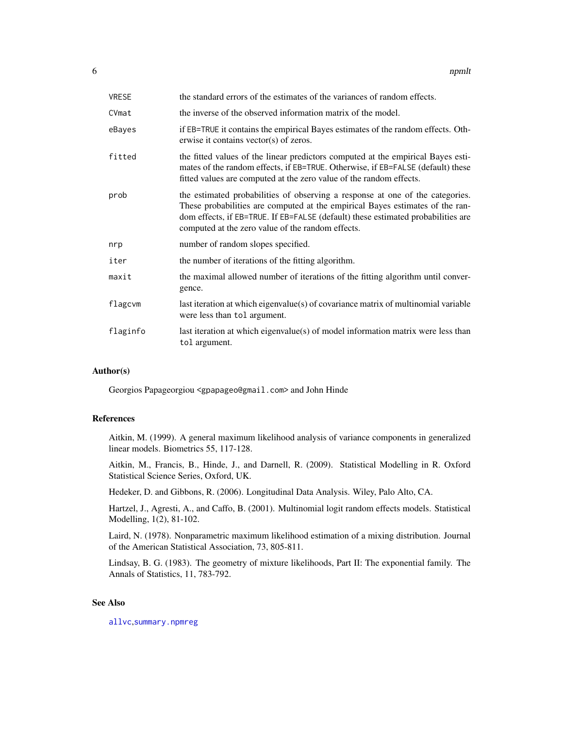<span id="page-5-0"></span>

| <b>VRESE</b> | the standard errors of the estimates of the variances of random effects.                                                                                                                                                                                                                                |
|--------------|---------------------------------------------------------------------------------------------------------------------------------------------------------------------------------------------------------------------------------------------------------------------------------------------------------|
| CVmat        | the inverse of the observed information matrix of the model.                                                                                                                                                                                                                                            |
| eBayes       | if EB=TRUE it contains the empirical Bayes estimates of the random effects. Oth-<br>erwise it contains vector(s) of zeros.                                                                                                                                                                              |
| fitted       | the fitted values of the linear predictors computed at the empirical Bayes esti-<br>mates of the random effects, if EB=TRUE. Otherwise, if EB=FALSE (default) these<br>fitted values are computed at the zero value of the random effects.                                                              |
| prob         | the estimated probabilities of observing a response at one of the categories.<br>These probabilities are computed at the empirical Bayes estimates of the ran-<br>dom effects, if EB=TRUE. If EB=FALSE (default) these estimated probabilities are<br>computed at the zero value of the random effects. |
| nrp          | number of random slopes specified.                                                                                                                                                                                                                                                                      |
| iter         | the number of iterations of the fitting algorithm.                                                                                                                                                                                                                                                      |
| maxit        | the maximal allowed number of iterations of the fitting algorithm until conver-<br>gence.                                                                                                                                                                                                               |
| flagcvm      | last iteration at which eigenvalue(s) of covariance matrix of multinomial variable<br>were less than tol argument.                                                                                                                                                                                      |
| flaginfo     | last iteration at which eigenvalue(s) of model information matrix were less than<br>tol argument.                                                                                                                                                                                                       |

#### Author(s)

Georgios Papageorgiou <gpapageo@gmail.com> and John Hinde

#### References

Aitkin, M. (1999). A general maximum likelihood analysis of variance components in generalized linear models. Biometrics 55, 117-128.

Aitkin, M., Francis, B., Hinde, J., and Darnell, R. (2009). Statistical Modelling in R. Oxford Statistical Science Series, Oxford, UK.

Hedeker, D. and Gibbons, R. (2006). Longitudinal Data Analysis. Wiley, Palo Alto, CA.

Hartzel, J., Agresti, A., and Caffo, B. (2001). Multinomial logit random effects models. Statistical Modelling, 1(2), 81-102.

Laird, N. (1978). Nonparametric maximum likelihood estimation of a mixing distribution. Journal of the American Statistical Association, 73, 805-811.

Lindsay, B. G. (1983). The geometry of mixture likelihoods, Part II: The exponential family. The Annals of Statistics, 11, 783-792.

### See Also

[allvc](#page-0-0),[summary.npmreg](#page-7-1)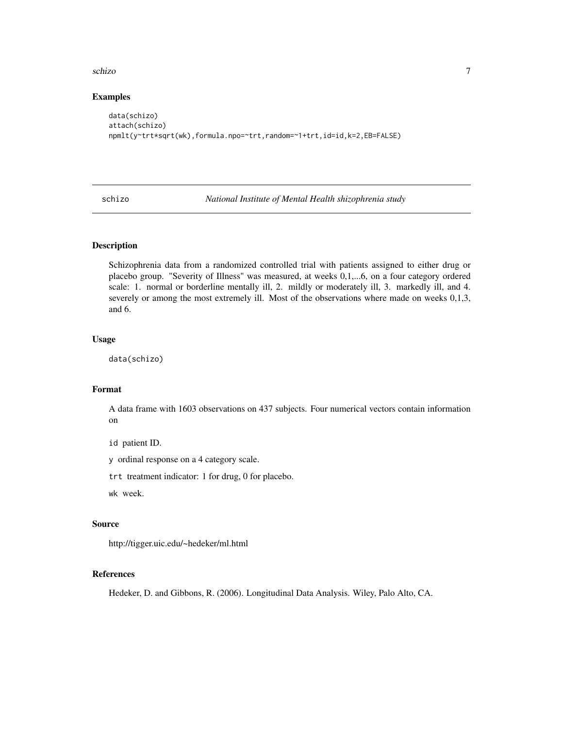#### <span id="page-6-0"></span>schizo za uzorani za uzorani za uzorani za uzorani za uzorani za uzorani za uzorani za uzorani za uzorani za u

#### Examples

```
data(schizo)
attach(schizo)
npmlt(y~trt*sqrt(wk),formula.npo=~trt,random=~1+trt,id=id,k=2,EB=FALSE)
```
schizo *National Institute of Mental Health shizophrenia study*

#### Description

Schizophrenia data from a randomized controlled trial with patients assigned to either drug or placebo group. "Severity of Illness" was measured, at weeks 0,1,...6, on a four category ordered scale: 1. normal or borderline mentally ill, 2. mildly or moderately ill, 3. markedly ill, and 4. severely or among the most extremely ill. Most of the observations where made on weeks 0,1,3, and 6.

#### Usage

data(schizo)

### Format

A data frame with 1603 observations on 437 subjects. Four numerical vectors contain information on

id patient ID.

y ordinal response on a 4 category scale.

trt treatment indicator: 1 for drug, 0 for placebo.

wk week.

#### Source

http://tigger.uic.edu/~hedeker/ml.html

#### References

Hedeker, D. and Gibbons, R. (2006). Longitudinal Data Analysis. Wiley, Palo Alto, CA.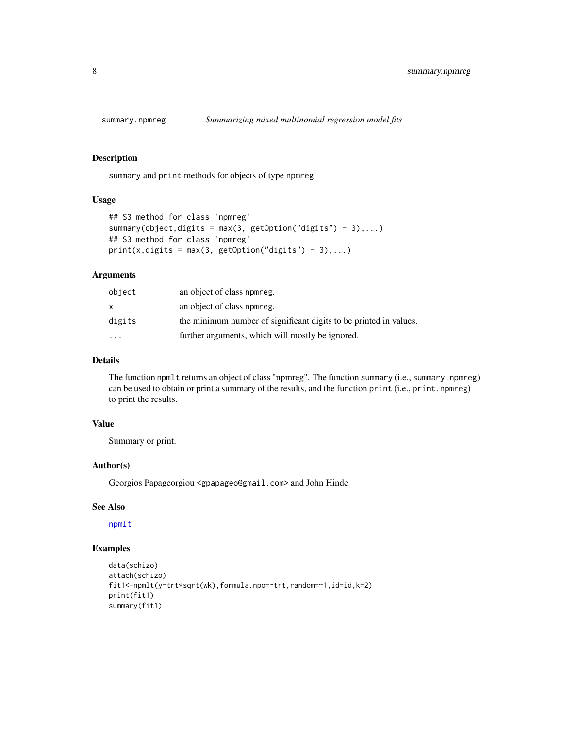<span id="page-7-1"></span><span id="page-7-0"></span>

#### Description

summary and print methods for objects of type npmreg.

#### Usage

```
## S3 method for class 'npmreg'
summary(object,digits = max(3, getOption("digits") - 3),...)
## S3 method for class 'npmreg'
print(x, digits = max(3, getOption("digits") - 3),...)
```
#### Arguments

| object                  | an object of class npmreg.                                        |
|-------------------------|-------------------------------------------------------------------|
| x.                      | an object of class nomeg.                                         |
| digits                  | the minimum number of significant digits to be printed in values. |
| $\cdot$ $\cdot$ $\cdot$ | further arguments, which will mostly be ignored.                  |

#### Details

The function npmlt returns an object of class "npmreg". The function summary (i.e., summary.npmreg) can be used to obtain or print a summary of the results, and the function print (i.e., print.npmreg) to print the results.

#### Value

Summary or print.

#### Author(s)

Georgios Papageorgiou <gpapageo@gmail.com> and John Hinde

#### See Also

[npmlt](#page-2-1)

#### Examples

```
data(schizo)
attach(schizo)
fit1<-npmlt(y~trt*sqrt(wk),formula.npo=~trt,random=~1,id=id,k=2)
print(fit1)
summary(fit1)
```